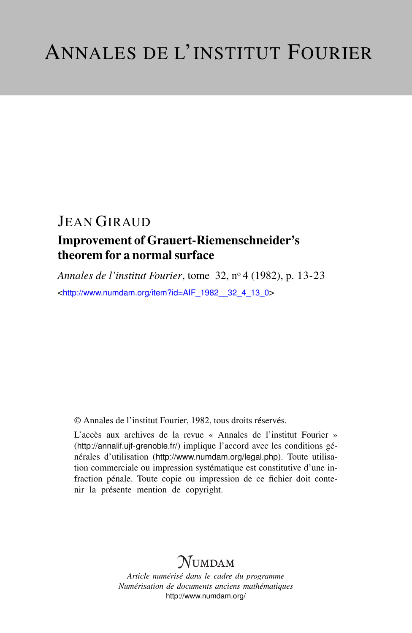# Improvement of Grauert-Riemenschneider's theorem for a normal surface

*Annales de l'institut Fourier*, tome 32, n<sup>o</sup> 4 (1982), p. 13-23 <[http://www.numdam.org/item?id=AIF\\_1982\\_\\_32\\_4\\_13\\_0](http://www.numdam.org/item?id=AIF_1982__32_4_13_0)>

© Annales de l'institut Fourier, 1982, tous droits réservés.

L'accès aux archives de la revue « Annales de l'institut Fourier » (<http://annalif.ujf-grenoble.fr/>) implique l'accord avec les conditions générales d'utilisation (<http://www.numdam.org/legal.php>). Toute utilisation commerciale ou impression systématique est constitutive d'une infraction pénale. Toute copie ou impression de ce fichier doit contenir la présente mention de copyright.

# NUMDAM

*Article numérisé dans le cadre du programme Numérisation de documents anciens mathématiques* <http://www.numdam.org/>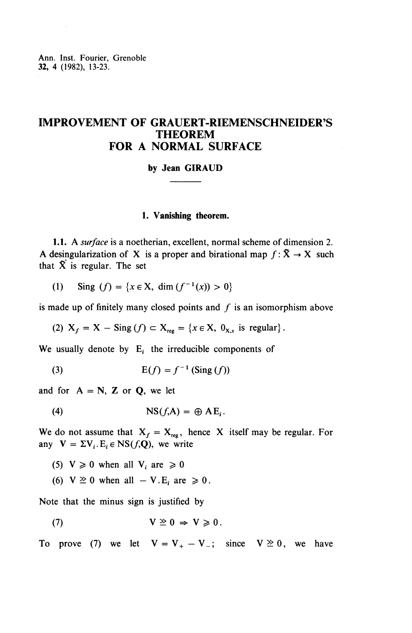Ann. Inst. Fourier, Grenoble 32, 4 (1982), 13-23.

# **IMPROVEMENT OF GRAUERT-RIEMENSCHNEIDER^S THEOREM FOR A NORMAL SURFACE**

#### **by Jean GIRAUD**

#### **1. Vanishing theorem.**

**1.1.** A *surface* is a noetherian, excellent, normal scheme of dimension 2. A desingularization of X is a proper and birational map  $f: \tilde{X} \to X$  such that  $\tilde{X}$  is regular. The set

(1) Sing 
$$
(f) = \{x \in X, \dim(f^{-1}(x)) > 0\}
$$

is made up of finitely many closed points and  $f$  is an isomorphism above

(2) 
$$
X_f = X - \text{Sing}(f) \subset X_{reg} = \{x \in X, 0_{X,x} \text{ is regular}\}.
$$

We usually denote by  $E_i$  the irreducible components of

$$
E(f) = f^{-1} \left( \text{Sing}(f) \right)
$$

and for  $A = N$ , **Z** or **Q**, we let

$$
NS(f, A) = \bigoplus A E_i.
$$

We do not assume that  $X_f = X_{reg}$ , hence X itself may be regular. For any  $V = \Sigma V_i$ .  $E_i \in NS(f, Q)$ , we write

- (5)  $V \ge 0$  when all  $V_i$  are  $\ge 0$
- (6)  $V \ge 0$  when all  $-V.E_i$  are  $\ge 0$ .

Note that the minus sign is justified by

(7) 
$$
V \geq 0 \Rightarrow V \geq 0.
$$

To prove (7) we let  $V = V_+ - V_-$ ; since  $V \ge 0$ , we have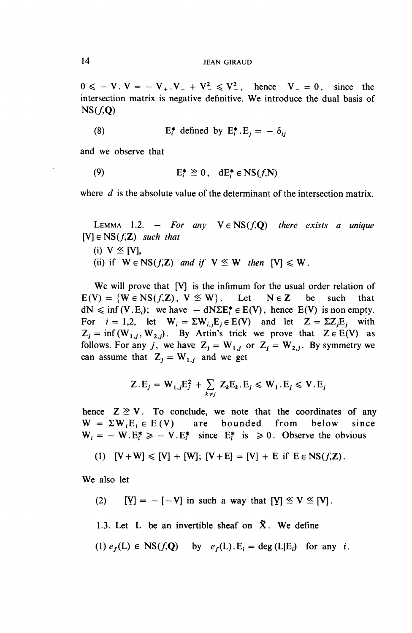$0 \le -V$ .  $V = -V_{+}$ .  $V_{-} + V_{-}^{2} \le V_{-}^{2}$ , hence  $V_{-} = 0$ , since the intersection matrix is negative definitive. We introduce the dual basis of  $NS(f,0)$ 

(8) 
$$
E_i^* \text{ defined by } E_i^* . E_i = -\delta_{ij}
$$

and we observe that

(9) 
$$
E_t^* \geq 0, dE_t^* \in NS(f, N)
$$

where *d* is the absolute value of the determinant of the intersection matrix.

LEMMA 1.2. - *For any*  $V \in NS(f, Q)$  *there exists a unique*  $[V] \in NS(f, \mathbb{Z})$  *such that* 

- (i)  $V \leq [V]$ ,
- (ii) if  $W \in NS(f,\mathbb{Z})$  *and if*  $V \leq W$  *then*  $[V] \leq W$ *.*

We will prove that [V] is the infimum for the usual order relation of  $E(V) = \{W \in NS(f,\mathbb{Z}), V \leq W\}$ . Let  $N \in \mathbb{Z}$  be such that  $dN \le \inf(V.E_i)$ ; we have  $-dN \Sigma E_i^* \in E(V)$ , hence  $E(V)$  is non empty. For  $i = 1,2$ , let  $W_i = \sum W_{i,j} E_j \in E(V)$  and let  $Z = \sum Z_j E_j$  with  $Z_j = \inf(W_{1,j}, W_{2,j})$ . By Artin's trick we prove that  $Z \in E(V)$  as follows. For any *j*, we have  $Z_j = W_{1,j}$  or  $Z_j = W_{2,j}$ . By symmetry we can assume that  $Z_i = W_{1,i}$  and we get

$$
Z.E_j = W_{1,j}E_j^2 + \sum_{k \neq j} Z_kE_k.E_j \le W_1.E_j \le V.E_j
$$

hence  $Z \geq V$ . To conclude, we note that the coordinates of any  $W = \Sigma W_i E_i \in E(V)$  are bounded from below since  $W_i = -W.E_i^* \ge -V.E_i^*$  since  $E_i^*$  is  $\ge 0$ . Observe the obvious

(1) 
$$
[V+W] \le [V] + [W]; [V+E] = [V] + E
$$
 if  $E \in NS(f,\mathbb{Z})$ .

**We** also let

- (2)  $[Y] = -[-V]$  in such a way that  $[Y] \le V \le [V]$ .
- 1.3. Let L be an invertible sheaf on  $\bar{X}$ . We define
- (1)  $e_f(L) \in NS(f, \mathbf{Q})$  by  $e_f(L)$ . E<sub>i</sub> = deg(L|E<sub>i</sub>) for any *i*.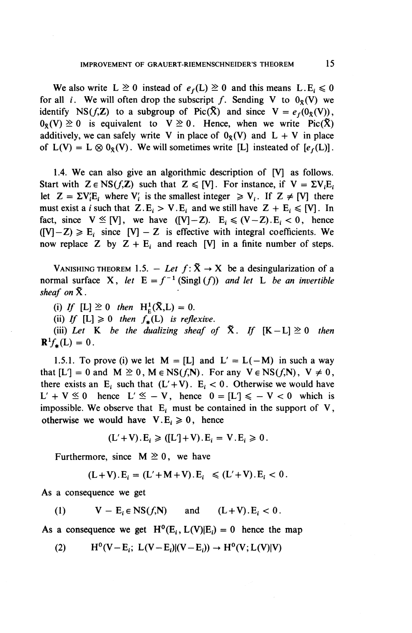We also write  $L \ge 0$  instead of  $e_f(L) \ge 0$  and this means  $L.E_i \le 0$ for all *i*. We will often drop the subscript f. Sending V to  $0<sub>x</sub>(V)$  we identify NS( $f$ , $\mathbf{Z}$ ) to a subgroup of Pic( $\tilde{\mathbf{X}}$ ) and since  $\mathbf{V} = e_f(0_{\tilde{\mathbf{X}}}(V))$ ,  $0_{\mathcal{R}}(V) \ge 0$  is equivalent to  $V \ge 0$ . Hence, when we write Pic(X) additively, we can safely write V in place of  $0<sub>x</sub>(V)$  and  $L + V$  in place of  $L(V) = L \otimes 0_{\mathcal{R}}(V)$ . We will sometimes write [L] insteated of  $[e_f(L)]$ .

1.4. We can also give an algorithmic description of [V] as follows. Start with  $Z \in NS(f, \mathbb{Z})$  such that  $Z \leq [V]$ . For instance, if  $V = \Sigma V_i E_i$ let  $Z = \Sigma V_i E_i$ ; where  $V_i$  is the smallest integer  $V_i$ . If  $Z \neq [V]$  there must exist a *i* such that  $Z.E_i > V.E_i$  and we still have  $Z + E_i \leq [V]$ . In fact, since  $V \leq [V]$ , we have  $([V]-Z)$ .  $E_i \leq (V-Z)$ . $E_i < 0$ , hence  $([V] - Z) \ge E_i$  since  $[V] - Z$  is effective with integral coefficients. We now replace Z by  $Z + E_i$  and reach [V] in a finite number of steps.

VANISHING THEOREM 1.5. - Let  $f: \tilde{X} \rightarrow X$  be a desingularization of a normal surface X, let  $E = f^{-1}$  (Singl (f)) and let L be an invertible *sheaf on* X.

(i) *If* [L]  $\geq 0$  then H<sub>E</sub>( $\tilde{X},L$ ) = 0.

(ii) If  $[L] \geq 0$  then  $f_*(L)$  is reflexive.

(iii) Let K be the dualizing sheaf of  $\tilde{X}$ . If  $[K-L] \geq 0$  then  $\mathbf{R}^1 f_*({\mathbf{L}})=0$ .

1.5.1. To prove (i) we let  $M = [L]$  and  $L' = L(-M)$  in such a way that  $[L'] = 0$  and  $M \ge 0$ ,  $M \in NS(f, N)$ . For any  $V \in NS(f, N)$ ,  $V \ne 0$ , there exists an E<sub>i</sub> such that  $(L' + V)$ . E<sub>i</sub> < 0. Otherwise we would have <br> L' + V  $\leq$  0 hence L'  $\leq$  - V, hence 0 = [L']  $\leq$  - V < 0 which is impossible. We observe that  $E_i$  must be contained in the support of  $V$ , otherwise we would have  $V.E_i \geq 0$ , hence

$$
(L'+V).E_i \geq ([L'] + V).E_i = V.E_i \geq 0.
$$

Furthermore, since  $M \geq 0$ , we have

$$
(L+V).E_i = (L'+M+V).E_i \le (L'+V).E_i < 0.
$$

As **a consequence we get**

(1)  $V - E_i \in NS(f, N)$  and  $(L + V) \cdot E_i < 0$ .

As a consequence we get  $H^0(E_i, L(V)|E_i) = 0$  hence the map

(2)  $H^0(V-E_i; L(V-E_i)|(V-E_i)) \rightarrow H^0(V; L(V)|V)$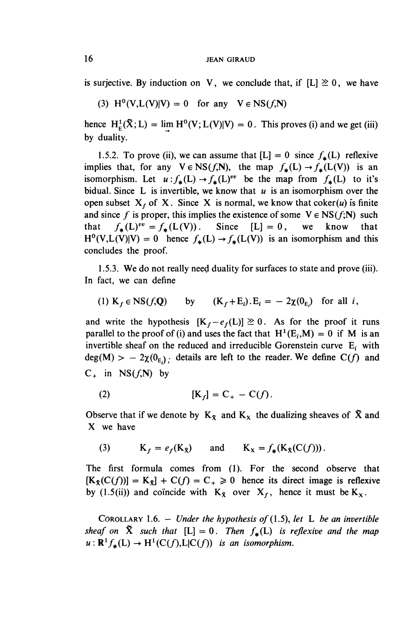is surjective. By induction on V, we conclude that, if  $[L] \geq 0$ , we have

(3)  $H^0(V,L(V)|V) = 0$  for any  $V \in NS(f,N)$ 

hence  $H^1_E(\tilde{X};L) = \lim H^0(V;L(V)|V) = 0$ . This proves (i) and we get (iii) by duality.

1.5.2. To prove (ii), we can assume that  $[L] = 0$  since  $f_{\star}(L)$  reflexive implies that, for any  $V \in NS(f, N)$ , the map  $f_*(L) \to f_*(L(V))$  is an isomorphism. Let  $u : f_*(L) \to f_*(L)^{ve}$  be the map from  $f_*(L)$  to it's bidual. Since L is invertible, we know that *u* is an isomorphism over the open subset  $X_f$  of X. Since X is normal, we know that coker(u) is finite and since f is proper, this implies the existence of some  $V \in NS(f;N)$  such that  $f_*(L)^{vv} = f_*(L(V))$ . Since  $[L] = 0$ , we know that  $H^0(V,L(V)|V) = 0$  hence  $f_*(L) \to f_*(L(V))$  is an isomorphism and this concludes the proof.

1.5.3. **We** do not really need duality for surfaces to state and prove (iii). In fact, we can define

(1) 
$$
K_f \in NS(f,Q)
$$
 by  $(K_f + E_i) \cdot E_i = -2\chi(\theta_{E_i})$  for all *i*,

and write the hypothesis  $[K_f - e_f(L)] \ge 0$ . As for the proof it runs parallel to the proof of (i) and uses the fact that  $H^1(E_i, M) = 0$  if M is an invertible sheaf on the reduced and irreducible Gorenstein curve  $E_i$  with  $deg(M) > -2\chi(0_E)$ ; details are left to the reader. We define  $C(f)$  and  $C_+$  in NS $(f, N)$  by

$$
\text{(2)} \quad [\mathbf{K}_f] = \mathbf{C}_+ - \mathbf{C}(f).
$$

Observe that if we denote by  $K_{\tilde{X}}$  and  $K_{X}$  the dualizing sheaves of  $\tilde{X}$  and X we have

(3) 
$$
K_f = e_f(K_{\tilde{X}}) \quad \text{and} \quad K_X = f_{\ast}(K_{\tilde{X}}(C(f))).
$$

The first formula comes from (1). For the second observe that  $[K_{\mathcal{R}}(C(f))] = K_{\mathcal{R}}] + C(f) = C_{+} \ge 0$  hence its direct image is reflexive by (1.5(ii)) and coincide with  $K_{\bar{X}}$  over  $X_f$ , hence it must be  $K_X$ .

COROLLARY 1.6. — *Under the hypothesis of (1.5), let* L *be an invertible sheaf on*  $\tilde{X}$  *such that*  $[L] = 0$ *. Then*  $f_*(L)$  *is reflexive and the map*  $u: \mathbb{R}^1 f_*({\bf L}) \to H^1(C(f), {\bf L}|C(f))$  *is an isomorphism.*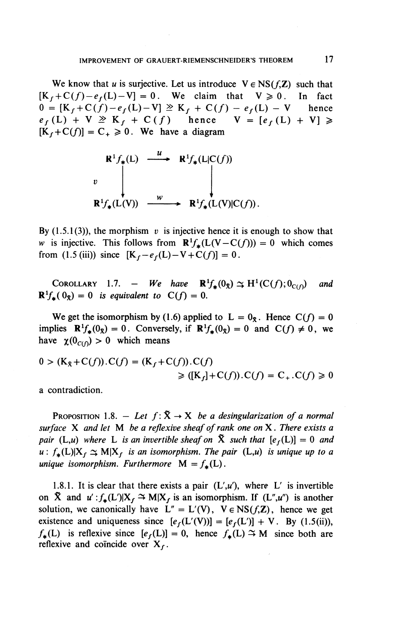We know that *u* is surjective. Let us introduce  $V \in NS(f,\mathbb{Z})$  such that  $[K_f + C(f) - e_f(L) - V] = 0$ . We claim that  $V \ge 0$ . In fact  $0 = [K_f + C(f) - e_f(L) - V] \ge K_f + C(f) - e_f(L) - V$  hence  $0 = [K_f + C(f) - e_f(L) - V] \ge K_f + C(f) - e_f(L) - V$  hence<br>  $e_f(L) + V \ge K_f + C(f)$  hence  $V = [e_f(L) + V] \ge$  $e_f(L) + V \geq K_f + C(f)$  hence  $[K_f+C(f)] = C_+ \geq 0$ . We have a diagram

$$
\begin{array}{ccc}\n\mathbf{R}^1 f_*(L) & \xrightarrow{u} & \mathbf{R}^1 f_*(L|C(f)) \\
v & \downarrow & \downarrow \\
\mathbf{R}^1 f_*(L(V)) & \xrightarrow{w} & \mathbf{R}^1 f_*(L(V)|C(f)).\n\end{array}
$$

By  $(1.5.1(3))$ , the morphism v is injective hence it is enough to show that *w* is injective. This follows from  $\mathbb{R}^1 f_*(L(V - C(f))) = 0$  which comes from (1.5 (iii)) since  $[K_f-e_f(L)-V+C(f)] = 0$ .

COROLLARY 1.7. - We have  $\mathbb{R}^1 f_*(0_8) \simeq H^1(C(f); 0_{C(f)})$  and  $\mathbb{R}^1 f_{\pmb{\cdot}}(0_{\pmb{\cdot}}) = 0$  is equivalent to  $C(f) = 0$ .

We get the isomorphism by (1.6) applied to  $L = 0_x$ . Hence  $C(f) = 0$ implies  $\mathbb{R}^1 f_*(0_{\tilde{x}}) = 0$ . Conversely, if  $\mathbb{R}^1 f_*(0_{\tilde{x}}) = 0$  and  $C(f) \neq 0$ , we have  $\chi(0_{C(\Omega)}) > 0$  which means

$$
0 > (K_{\bar{X}} + C(f)).C(f) = (K_f + C(f)).C(f)
$$
  
\n
$$
\geq ((K_f) + C(f)).C(f) = C_+.C(f) \geq 0
$$

a contradiction.

PROPOSITION 1.8.  $-$  Let  $f:\tilde{X} \rightarrow X$  be a desingularization of a normal *surface* X and let M be a reflexive sheaf of rank one on X. There exists a *pair* (L,u) where L is an invertible sheaf on  $\tilde{X}$  such that  $[e_f(L)] = 0$  and  $u: f_*(L)|X_f \simeq M|X_f$  *is an isomorphism. The pair* (L,u) *is unique up to a unique isomorphism. Furthermore*  $M = f_*(L)$ .

1.8.1. It is clear that there exists a pair  $(L', u')$ , where L' is invertible on  $\tilde{X}$  and  $u': f_*(L')|X_f \to M|X_f$  is an isomorphism. If  $(L'', u'')$  is another solution, we canonically have  $L'' = L'(V)$ ,  $V \in NS(f, \mathbb{Z})$ , hence we get existence and uniqueness since  $[e_f(L'(V))] = [e_f(L')] + V$ . By (1.5(ii)),  $f_{\star}(L)$  is reflexive since  $[e_f(L)] = 0$ , hence  $f_{\star}(L) \to M$  since both are reflexive and coincide over  $X_f$ .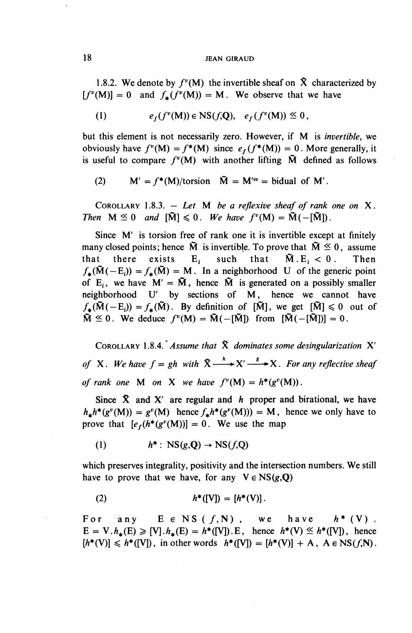1.8.2. We denote by  $f^{\nu}(M)$  the invertible sheaf on  $\tilde{X}$  characterized by  $[f^{\nu}(M)] = 0$  and  $f_{*}(f^{\nu}(M)) = M$ . We observe that we have

(1) 
$$
e_f(f^v(M)) \in NS(f, Q), e_f(f^v(M)) \leq 0,
$$

but this element is not necessarily zero. However, if M is *invertible,* we obviously have  $f^{\nu}(M) = f^*(M)$  since  $e_f(f^*(M)) = 0$ . More generally, it is useful to compare  $f^{\nu}(M)$  with another lifting  $\tilde{M}$  defined as follows

(2) 
$$
M' = f^*(M)/\text{torsion } \tilde{M} = M'^{vv} = \text{bidual of } M'.
$$

COROLLARY 1.8.3. — *Let M be a reflexive sheaf of rank one on* X. *Then*  $M \leq 0$  *and*  $\tilde{M} \leq 0$ . We have  $f^{\nu}(M) = \tilde{M}(-[\tilde{M}])$ .

Since M' is torsion free of rank one it is invertible except at finitely many closed points; hence  $\tilde{M}$  is invertible. To prove that  $\tilde{M} \leq 0$ , assume that there exists  $E_i$  such that  $\tilde{M} \cdot E_i < 0$ . Then  $f_{\star}(\tilde{M}(-E_i)) = f_{\star}(\tilde{M}) = M$ . In a neighborhood U of the generic point of E<sub>i</sub>, we have  $M' = \tilde{M}$ , hence  $\tilde{M}$  is generated on a possibly smaller neighborhood U' by sections of M, hence we cannot have  $f_*(\tilde{M}(-E_i)) = f_*(\tilde{M})$ . By definition of  $[\tilde{M}]$ , we get  $[\tilde{M}] \leq 0$  out of  $\tilde{M} \leq 0$ . We deduce  $f^{\nu}(M) = \tilde{M}(-[\tilde{M}])$  from  $[\tilde{M}(-[\tilde{M}])] = 0$ .

COROLLARY 1.8.4. *Assume that* X *dominates some desingularization* X' *of* X. We have  $f = gh$  with  $\tilde{X} \xrightarrow{h} X' \xrightarrow{s} X$ . For any reflective sheaf *of rank one* M *on* X *we have*  $f^v(M) = h^*(g^v(M)).$ 

Since X and X' are regular and *h* proper and birational, we have  $h_* h^*(g^v(M)) = g^v(M)$  hence  $f_* h^*(g^v(M)) = M$ , hence we only have to prove that  $[e_f(h^*(g^v(M))] = 0$ . We use the map

(1) 
$$
h^* : \text{NS}(g, \mathbf{Q}) \to \text{NS}(f, \mathbf{Q})
$$

which preserves integrality, positivity and the intersection numbers. We still have to prove that we have, for any  $V \in NS(g,Q)$ 

(2) 
$$
h^*([V]) = [h^*(V)].
$$

For any  $E \in NS(f, N)$ , we have  $h^*(V)$ .  $E = V.h_{\star}(E) \geq [V].h_{\star}(E) = h^{*}([V]).E$ , hence  $h^{*}(V) \leq h^{*}([V])$ , hence  $[h^*(V)] \le h^*([V])$ , in other words  $h^*([V]) = [h^*(V)] + A$ ,  $A \in NS(f, N)$ .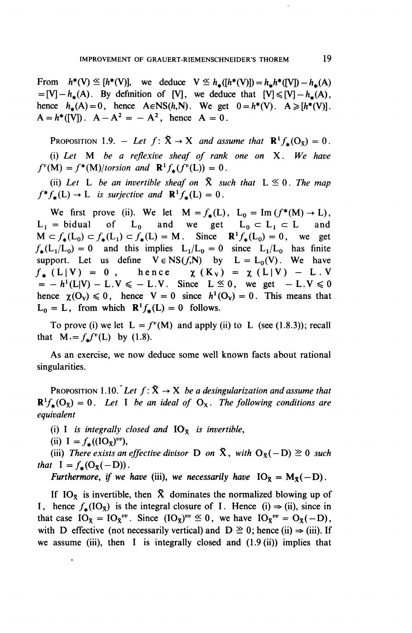From  $h^*(V) \leq [h^*(V)]$ , we deduce  $V \leq h_*([h^*(V)]) = h_*h^*([V]) - h_*(A)$  $=[V]-h_{\star}(A)$ . By definition of [V], we deduce that  $[V]\leq [V]-h_{\star}(A)$ , hence  $h_{\star}(A)=0$ , hence  $A \in NS(h,N)$ . We get  $0=h^{*}(V)$ .  $A \geq h^{*}(V)$ .  $A = h^*([V])$ .  $A - A^2 = -A^2$ , hence  $A = 0$ .

PROPOSITION 1.9. – Let  $f: \tilde{X} \to X$  and assume that  $\mathbb{R}^1 f_*(O_x) = 0$ . (i) L^ M 6^ a *reflexive sheaf of rank one on* X. *We have*  $f^{\nu}(M) = f^*(M)/torsion$  and  $\mathbb{R}^1 f_*(f^{\nu}(L)) = 0$ .

(ii) Let L be an invertible sheaf on  $\tilde{X}$  such that  $L \leq 0$ . The map  $f^*f_*(L) \to L$  *is surjective and*  $\mathbb{R}^1 f_*(L) = 0$ .

We first prove (ii). We let  $M = f_*(L)$ ,  $L_0 = Im (f^*(M) \rightarrow L)$ ,  $L_1$  = bidual of  $L_0$  and we get  $L_0 \subset L_1 \subset L$  and  $M \subset f_{\star}(L_0) \subset f_{\star}(L_1) \subset f_{\star}(L) = M$ . Since  $R^1f_{\star}(L_0) = 0$ , we get  $f_{\star}(L_1/L_0) = 0$  and this implies  $L_1/L_0 = 0$  since  $L_1/L_0$  has finite support. Let us define  $V \in NS(f,N)$  by  $L = L_0(V)$ . We have  $f_* (L|V) = 0$ , hence  $\chi (K_V) = \chi (L|V) - L$ . V  $f_*$  (L|V) = 0, hence  $\chi$  (K<sub>V</sub>) =  $\chi$  (L|V) - L.V<br>= -  $h^1(L|V) - L.V \le - L.V$ . Since L  $\le 0$ , we get - L.V  $\le 0$ hence  $\chi(O_v) \leq 0$ , hence  $V = 0$  since  $h^1(O_v) = 0$ . This means that  $L_0 = L$ , from which  $\mathbb{R}^1 f_*(L) = 0$  follows.

To prove (i) we let  $L = f^{\nu}(M)$  and apply (ii) to L (see (1.8.3)); recall that  $M = f_* f^*(L)$  by (1.8).

As an exercise, we now deduce some well known facts about rational singularities.

PROPOSITION 1.10. Let  $f: \tilde{X} \rightarrow X$  *be a desingularization and assume that*  $\mathbb{R}^1 f_* (O_{\tilde{X}}) = 0$ . Let I be an ideal of  $O_X$ . The following conditions are *equivalent*

(i) I *is integrally closed and*  $IO_{\mathcal{R}}$  *is invertible,* 

(ii)  $I=f_{\star}((IO_{\tilde{x}})^{vv}),$ 

(iii) There exists an effective divisor D on  $\tilde{X}$ , with  $O_{\tilde{X}}(-D) \geq 0$  such *that*  $I = f_*(O_8(-D))$ .

*Furthermore, if we have (iii), we necessarily have*  $IO_{\mathcal{R}} = M_{\mathcal{R}}(-D)$ .

If IO<sub>x</sub> is invertible, then  $\tilde{X}$  dominates the normalized blowing up of I, hence  $f_*(IO_x)$  is the integral closure of I. Hence (i)  $\Rightarrow$  (ii), since in that case  $IO_{\bar{X}} = IO_{\bar{X}}^{vv}$ . Since  $(IO_{\bar{X}})^{vv} \leq 0$ , we have  $IO_{\bar{X}}^{vv} = O_{\bar{X}}(-D)$ , with D effective (not necessarily vertical) and  $D \ge 0$ ; hence (ii)  $\Rightarrow$  (iii). If we assume (iii), then I is integrally closed and  $(1.9(ii))$  implies that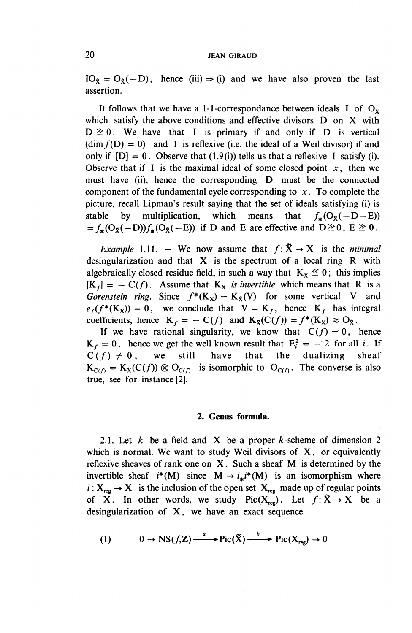$IO_{\tilde{X}} = O_{\tilde{X}}(-D)$ , hence (iii)  $\Rightarrow$  (i) and we have also proven the last assertion.

It follows that we have a 1-1-correspondance between ideals I of  $O_x$ which satisfy the above conditions and effective divisors D on X with  $D \ge 0$ . We have that I is primary if and only if D is vertical  $(\dim f(D) = 0)$  and I is reflexive (i.e. the ideal of a Weil divisor) if and only if  $[D] = 0$ . Observe that  $(1.9(i))$  tells us that a reflexive I satisfy (i). Observe that if I is the maximal ideal of some closed point  $x$ , then we must have (ii), hence the corresponding D must be the connected component of the fundamental cycle corresponding to *x .* To complete the picture, recall Lipman's result saying that the set of ideals satisfying (i) is stable by multiplication, which means that  $f_{\star}(O_{\tilde{X}}(-D-E))$  $=f_*(O_8(-D))f_*(O_8(-E))$  if D and E are effective and  $D\geq 0$ ,  $E\geq 0$ .

*Example* 1.11. – We now assume that  $f: \tilde{X} \rightarrow X$  is the *minimal* desingularization and that X is the spectrum of a local ring R with algebraically closed residue field, in such a way that  $K_{\bar{x}} \leq 0$ ; this implies  $[K_f] = -C(f)$ . Assume that  $K_X$  *is invertible* which means that R is a *Gorenstein ring.* Since  $f^*(K_x) = K_x(V)$  for some vertical V and  $e_f(f^*(K_x)) = 0$ , we conclude that  $V = K_f$ , hence  $K_f$  has integral coefficients, hence  $K_f = - C(f)$  and  $K_g(C(f)) = f^*(K_x) \approx O_{\bar{X}}$ .

If we have rational singularity, we know that  $C(f) = 0$ , hence  $K_f = 0$ , hence we get the well known result that  $E_i^2 = -2$  for all i. If  $C(f) \neq 0$ , we still have that the dualizing sheaf  $K_{C(f)} = K_{\bar{X}}(C(f)) \otimes O_{C(f)}$  is isomorphic to  $O_{C(f)}$ . The converse is also true, see for instance [2].

#### **2. Genus formula.**

2.1. Let  $k$  be a field and X be a proper  $k$ -scheme of dimension 2 which is normal. We want to study Weil divisors of  $X$ , or equivalently reflexive sheaves of rank one on X. Such a sheaf M is determined by the invertible sheaf  $i^*(M)$  since  $M \rightarrow i^*i^*(M)$  is an isomorphism where  $i: X_{reg} \to X$  is the inclusion of the open set  $X_{reg}$  made up of regular points of X. In other words, we study Pic( $X_{reg}$ ). Let  $f: \tilde{X} \to X$  be a desingularization of **X,** we have an exact sequence

(1) 
$$
0 \to NS(f,\mathbb{Z}) \xrightarrow{a} Pic(\tilde{X}) \xrightarrow{b} Pic(X_{reg}) \to 0
$$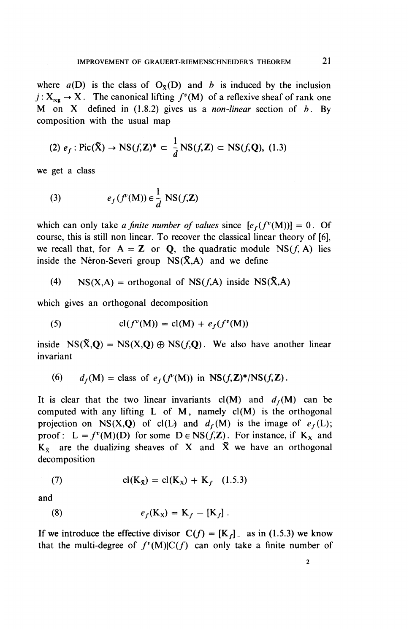where  $a(D)$  is the class of  $O<sub>x</sub>(D)$  and *b* is induced by the inclusion  $j: X_{reg} \to X$ . The canonical lifting  $f^{\nu}(M)$  of a reflexive sheaf of rank one M on X defined in (1.8.2) gives us a *non-linear* section of *b.* By composition with the usual map

(2) 
$$
e_f
$$
: Pic( $\tilde{X}$ )  $\rightarrow$  NS( $f$ , $\mathbf{Z}$ )<sup>\*</sup>  $\subset \frac{1}{d}$  NS( $f$ , $\mathbf{Z}$ )  $\subset$  NS( $f$ , $\mathbf{Q}$ ), (1.3)

**we get a class**

(3) 
$$
e_f(f^v(M)) \in \frac{1}{d} \text{NS}(f,\mathbf{Z})
$$

which can only take *a finite number of values* since  $[e_f(f^v(M))] = 0$ . Of course, this is still non linear. To recover the classical linear theory of [6], we recall that, for  $A = Z$  or **Q**, the quadratic module  $NS(f, A)$  lies inside the Néron-Severi group  $NS(\tilde{X}, A)$  and we define

(4) NS(X,A) = orthogonal of NS( $f$ ,A) inside NS( $\tilde{X}$ ,A)

**which gives an orthogonal decomposition**

(5) 
$$
cl(f^{\nu}(M)) = cl(M) + e_f(f^{\nu}(M))
$$

inside  $NS(\tilde{X}, Q) = NS(X, Q) \oplus NS(f, Q)$ . We also have another linear **invariant**

(6) 
$$
d_f(M) = \text{class of } e_f(f^p(M)) \text{ in } NS(f, \mathbb{Z})^* / NS(f, \mathbb{Z}).
$$

It is clear that the two linear invariants  $cl(M)$  and  $d_f(M)$  can be computed with any lifting  $L$  of  $M$ , namely  $cl(M)$  is the orthogonal projection on NS(X,Q) of cl(L) and  $d_f(M)$  is the image of  $e_f(L)$ ; proof:  $L = f^{\nu}(M)(D)$  for some  $D \in NS(f,\mathbb{Z})$ . For instance, if  $K_x$  and  $K_{\tilde{X}}$  are the dualizing sheaves of X and  $\tilde{X}$  we have an orthogonal decomposition

(7) 
$$
cl(K_{\bar{X}}) = cl(K_X) + K_f
$$
 (1.5.3)

and

(8) 
$$
e_f(K_X) = K_f - [K_f].
$$

If we introduce the effective divisor  $C(f) = [K_f]$  as in (1.5.3) we know that the multi-degree of  $f^v(M)|C(f)$  can only take a finite number of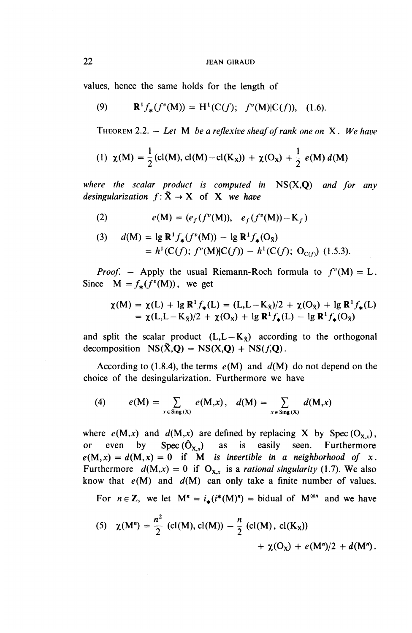values, hence the same holds for the length of

(9) 
$$
\mathbf{R}^{1} f_{*}(f^{v}(\mathbf{M})) = \mathbf{H}^{1}(\mathbf{C}(f); f^{v}(\mathbf{M})|\mathbf{C}(f)), (1.6).
$$

THEOREM 2.2. - *Let M bea reflexive sheaf of rank one on X. We have*

(9) 
$$
\mathbf{R}^{1} f_{*}(f^{v}(\mathbf{M})) = \mathbf{H}^{1}(\mathbf{C}(f); f^{v}(\mathbf{M})|\mathbf{C}(f)),
$$
 (1.6).  
\nTHEOREM 2.2. – Let M be a reflexive sheaf of rank one on X. We  
\n(1)  $\chi(\mathbf{M}) = \frac{1}{2}(\text{cl}(\mathbf{M}), \text{cl}(\mathbf{M}) - \text{cl}(\mathbf{K}_{x})) + \chi(\mathbf{O}_{x}) + \frac{1}{2}e(\mathbf{M}) d(\mathbf{M})$ 

*where the scalar product is computed in* NS(X,Q) *and for any desingularization*  $f: \tilde{X} \rightarrow X$  of X we have

(2) 
$$
e(M) = (e_f(f^v(M)), e_f(f^v(M)) - K_f)
$$

(3) 
$$
d(M) = \lg \mathbf{R}^{1} f_{*}(f^{v}(M)) - \lg \mathbf{R}^{1} f_{*}(O_{\bar{X}})
$$

$$
= h^{1}(C(f); f^{v}(M)|C(f)) - h^{1}(C(f); O_{C(f)}) \quad (1.5.3).
$$

*Proof.* – Apply the usual Riemann-Roch formula to  $f^v(M) = L$ . Since  $M = f(f^v(M))$ , we get

$$
\chi(M) = \chi(L) + \lg \mathbf{R}^{1} f_{*}(L) = (L, L - K_{\bar{X}})/2 + \chi(O_{\bar{X}}) + \lg \mathbf{R}^{1} f_{*}(L)
$$
  
=  $\chi(L, L - K_{\bar{X}})/2 + \chi(O_{\bar{X}}) + \lg \mathbf{R}^{1} f_{*}(L) - \lg \mathbf{R}^{1} f_{*}(O_{\bar{X}})$ 

and split the scalar product  $(L,L-K<sub>x</sub>)$  according to the orthogonal decomposition  $NS(\tilde{X}, Q) = NS(X, Q) + NS(f, Q)$ .

According to (1.8.4), the terms  $e(M)$  and  $d(M)$  do not depend on the choice of the desingularization. Furthermore we have

(4) 
$$
e(M) = \sum_{x \in Sing(X)} e(M,x), \quad d(M) = \sum_{x \in Sing(X)} d(M,x)
$$

where  $e(M,x)$  and  $d(M,x)$  are defined by replacing X by Spec ( $O_{X,x}$ ), or even by Spec( $\hat{O}_{X,x}$ ) as is easily seen. Furthermore  $e(M, x) = d(M, x) = 0$  if M is invertible in a neighborhood of x. Furthermore  $d(M,x) = 0$  if  $O_{X,x}$  is a *rational singularity* (1.7). We also know that  $e(M)$  and  $d(M)$  can only take a finite number of values.

For  $n \in \mathbb{Z}$ , we let  $M^n = i_+(i^*(M)^n) =$  bidual of  $M^{\otimes n}$  and we have

(5) 
$$
\chi(M^n) = \frac{n^2}{2} (cl(M), cl(M)) - \frac{n}{2} (cl(M), cl(K_x))
$$
  
  $+\chi(O_x) + e(M^n)/2 + d(M^n).$